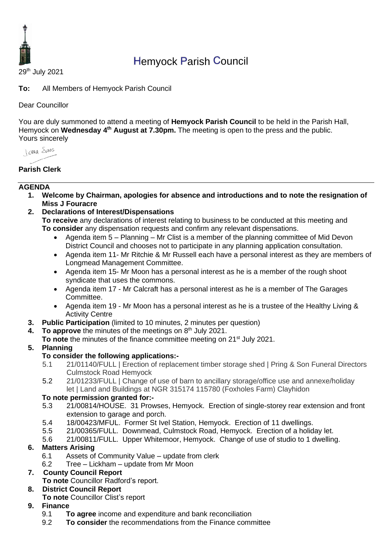

# Hemyock Parish Council

29th July 2021

**To:** All Members of Hemyock Parish Council

## Dear Councillor

You are duly summoned to attend a meeting of **Hemyock Parish Council** to be held in the Parish Hall, Hemyock on Wednesday 4<sup>th</sup> August at 7.30pm. The meeting is open to the press and the public. Yours sincerely

*I came Spans* 

# **Parish Clerk**

#### **AGENDA**

- **1. Welcome by Chairman, apologies for absence and introductions and to note the resignation of Miss J Fouracre**
- **2. Declarations of Interest/Dispensations**

**To receive** any declarations of interest relating to business to be conducted at this meeting and **To consider** any dispensation requests and confirm any relevant dispensations.

- Agenda item 5 Planning Mr Clist is a member of the planning committee of Mid Devon District Council and chooses not to participate in any planning application consultation.
- Agenda item 11- Mr Ritchie & Mr Russell each have a personal interest as they are members of Longmead Management Committee.
- Agenda item 15- Mr Moon has a personal interest as he is a member of the rough shoot syndicate that uses the commons.
- Agenda item 17 Mr Calcraft has a personal interest as he is a member of The Garages Committee.
- Agenda item 19 Mr Moon has a personal interest as he is a trustee of the Healthy Living & Activity Centre
- **3. Public Participation** (limited to 10 minutes, 2 minutes per question)
- **4.** To approve the minutes of the meetings on 8<sup>th</sup> July 2021.
- **To note** the minutes of the finance committee meeting on 21<sup>st</sup> July 2021.

## **5. Planning**

## **To consider the following applications:-**

- 5.1 21/01140/FULL | Erection of replacement timber storage shed | Pring & Son Funeral Directors Culmstock Road Hemyock
- 5.2 21/01233/FULL | Change of use of barn to ancillary storage/office use and annexe/holiday let | Land and Buildings at NGR 315174 115780 (Foxholes Farm) Clayhidon

## **To note permission granted for:-**

- 5.3 21/00814/HOUSE. 31 Prowses, Hemyock. Erection of single-storey rear extension and front extension to garage and porch.
- 5.4 18/00423/MFUL. Former St Ivel Station, Hemyock. Erection of 11 dwellings.
- 5.5 21/00365/FULL. Downmead, Culmstock Road, Hemyock. Erection of a holiday let.
- 5.6 21/00811/FULL. Upper Whitemoor, Hemyock. Change of use of studio to 1 dwelling.

# **6. Matters Arising**

- 6.1 Assets of Community Value update from clerk
- 6.2 Tree Lickham update from Mr Moon

## **7. County Council Report**

**To note** Councillor Radford's report.

## **8. District Council Report**

**To note** Councillor Clist's report

## **9. Finance**

- 9.1 **To agree** income and expenditure and bank reconciliation
- 9.2 **To consider** the recommendations from the Finance committee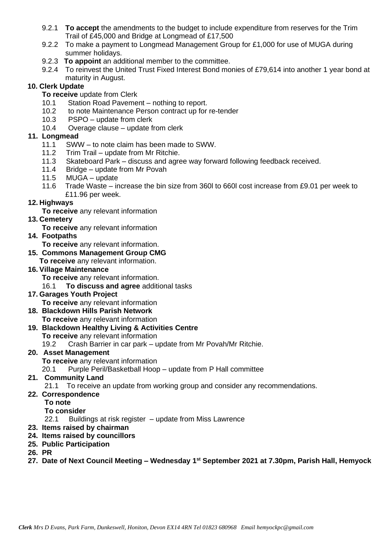- 9.2.1 **To accept** the amendments to the budget to include expenditure from reserves for the Trim Trail of £45,000 and Bridge at Longmead of £17,500
- 9.2.2 To make a payment to Longmead Management Group for £1,000 for use of MUGA during summer holidays.
- 9.2.3 **To appoint** an additional member to the committee.
- 9.2.4 To reinvest the United Trust Fixed Interest Bond monies of £79,614 into another 1 year bond at maturity in August.

#### **10. Clerk Update**

- **To receive** update from Clerk
- 10.1 Station Road Pavement nothing to report.
- 10.2 to note Maintenance Person contract up for re-tender
- 10.3 PSPO update from clerk
- 10.4 Overage clause update from clerk

#### **11. Longmead**

- 11.1 SWW to note claim has been made to SWW.
- 11.2 Trim Trail update from Mr Ritchie.
- 11.3 Skateboard Park discuss and agree way forward following feedback received.
- 11.4 Bridge update from Mr Povah
- 11.5 MUGA update
- 11.6 Trade Waste increase the bin size from 360l to 660l cost increase from £9.01 per week to £11.96 per week.

#### **12. Highways**

**To receive** any relevant information

#### **13. Cemetery**

- **To receive** any relevant information
- **14. Footpaths**
	- **To receive** any relevant information.
- **15. Commons Management Group CMG**
	- **To receive** any relevant information.

#### **16. Village Maintenance**

- **To receive** any relevant information.
- 16.1 **To discuss and agree** additional tasks

#### **17. Garages Youth Project**

**To receive** any relevant information

# **18. Blackdown Hills Parish Network**

**To receive** any relevant information

#### **19. Blackdown Healthy Living & Activities Centre**

**To receive** any relevant information

19.2 Crash Barrier in car park – update from Mr Povah/Mr Ritchie.

#### **20. Asset Management**

**To receive** any relevant information

20.1 Purple Peril/Basketball Hoop – update from P Hall committee

#### **21. Community Land**

21.1 To receive an update from working group and consider any recommendations.

#### **22. Correspondence**

**To note**

#### **To consider**

22.1 Buildings at risk register – update from Miss Lawrence

- **23. Items raised by chairman**
- **24. Items raised by councillors**
- **25. Public Participation**
- **26. PR**
- **27. Date of Next Council Meeting – Wednesday 1 st September 2021 at 7.30pm, Parish Hall, Hemyock**